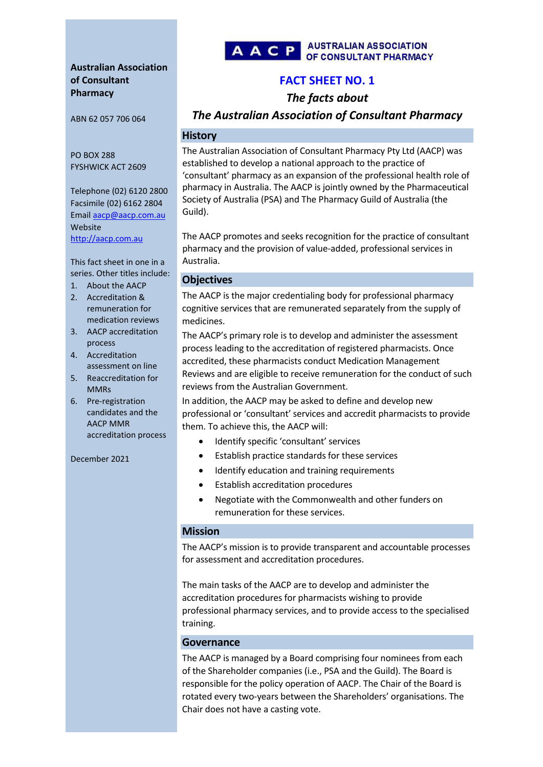# **Australian Association of Consultant Pharmacy**

ABN 62 057 706 064

PO BOX 288 FYSHWICK ACT 2609

Telephone (02) 6120 2800 Facsimile (02) 6162 2804 Email [aacp@aacp.com.au](mailto:aacp@aacp.com.au) Website [http://aacp.com.au](http://aacp.com.au/)

This fact sheet in one in a series. Other titles include:

- 1. About the AACP
- 2. Accreditation & remuneration for medication reviews
- 3. AACP accreditation process
- 4. Accreditation assessment on line
- 5. Reaccreditation for MMRs
- 6. Pre-registration candidates and the AACP MMR accreditation process

December 2021



# **FACT SHEET NO. 1**

*The facts about*

*The Australian Association of Consultant Pharmacy* 

### **History**

The Australian Association of Consultant Pharmacy Pty Ltd (AACP) was established to develop a national approach to the practice of 'consultant' pharmacy as an expansion of the professional health role of pharmacy in Australia. The AACP is jointly owned by the Pharmaceutical Society of Australia (PSA) and The Pharmacy Guild of Australia (the Guild).

The AACP promotes and seeks recognition for the practice of consultant pharmacy and the provision of value-added, professional services in Australia.

# **Objectives**

The AACP is the major credentialing body for professional pharmacy cognitive services that are remunerated separately from the supply of medicines.

The AACP's primary role is to develop and administer the assessment process leading to the accreditation of registered pharmacists. Once accredited, these pharmacists conduct Medication Management Reviews and are eligible to receive remuneration for the conduct of such reviews from the Australian Government.

In addition, the AACP may be asked to define and develop new professional or 'consultant' services and accredit pharmacists to provide them. To achieve this, the AACP will:

- Identify specific 'consultant' services
- Establish practice standards for these services
- Identify education and training requirements
- Establish accreditation procedures
- Negotiate with the Commonwealth and other funders on remuneration for these services.

### **Mission**

The AACP's mission is to provide transparent and accountable processes for assessment and accreditation procedures.

The main tasks of the AACP are to develop and administer the accreditation procedures for pharmacists wishing to provide professional pharmacy services, and to provide access to the specialised training.

# **Governance**

The AACP is managed by a Board comprising four nominees from each of the Shareholder companies (i.e., PSA and the Guild). The Board is responsible for the policy operation of AACP. The Chair of the Board is rotated every two-years between the Shareholders' organisations. The Chair does not have a casting vote.